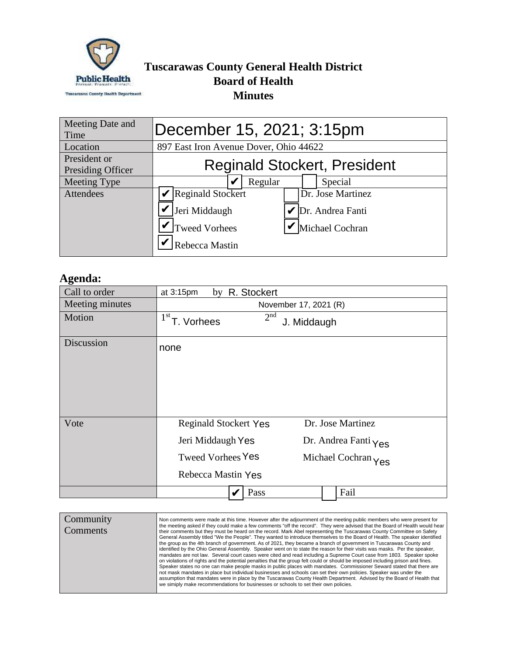

## **Tuscarawas County General Health District Board of Health Minutes**

| Meeting Date and<br>Time          | December 15, 2021; 3:15pm                                                                                                         |  |  |  |
|-----------------------------------|-----------------------------------------------------------------------------------------------------------------------------------|--|--|--|
| Location                          | 897 East Iron Avenue Dover, Ohio 44622                                                                                            |  |  |  |
| President or<br>Presiding Officer | <b>Reginald Stockert, President</b>                                                                                               |  |  |  |
| Meeting Type                      | Regular<br>Special                                                                                                                |  |  |  |
| Attendees                         | Reginald Stockert<br>Dr. Jose Martinez<br>Jeri Middaugh<br>Dr. Andrea Fanti<br>Tweed Vorhees<br>Michael Cochran<br>Rebecca Mastin |  |  |  |

## **Agenda:**

| Meeting Type     |                                                                                      | Regular         |                       | Special |                                                                                                                                                                                                                                                                                                                                                                                     |
|------------------|--------------------------------------------------------------------------------------|-----------------|-----------------------|---------|-------------------------------------------------------------------------------------------------------------------------------------------------------------------------------------------------------------------------------------------------------------------------------------------------------------------------------------------------------------------------------------|
| <b>Attendees</b> | Reginald Stockert                                                                    |                 |                       |         | Dr. Jose Martinez                                                                                                                                                                                                                                                                                                                                                                   |
|                  | Jeri Middaugh                                                                        |                 |                       |         | Dr. Andrea Fanti                                                                                                                                                                                                                                                                                                                                                                    |
|                  | <b>Tweed Vorhees</b>                                                                 |                 |                       |         | Michael Cochran                                                                                                                                                                                                                                                                                                                                                                     |
|                  | Rebecca Mastin                                                                       |                 |                       |         |                                                                                                                                                                                                                                                                                                                                                                                     |
|                  |                                                                                      |                 |                       |         |                                                                                                                                                                                                                                                                                                                                                                                     |
| Agenda:          |                                                                                      |                 |                       |         |                                                                                                                                                                                                                                                                                                                                                                                     |
| Call to order    | at 3:15pm<br>by                                                                      | R. Stockert     |                       |         |                                                                                                                                                                                                                                                                                                                                                                                     |
| Meeting minutes  |                                                                                      |                 | November 17, 2021 (R) |         |                                                                                                                                                                                                                                                                                                                                                                                     |
| Motion           | 1 <sup>st</sup><br>T. Vorhees                                                        | 2 <sup>nd</sup> | J. Middaugh           |         |                                                                                                                                                                                                                                                                                                                                                                                     |
| Discussion       | none                                                                                 |                 |                       |         |                                                                                                                                                                                                                                                                                                                                                                                     |
|                  |                                                                                      |                 |                       |         |                                                                                                                                                                                                                                                                                                                                                                                     |
|                  |                                                                                      |                 |                       |         |                                                                                                                                                                                                                                                                                                                                                                                     |
|                  |                                                                                      |                 |                       |         |                                                                                                                                                                                                                                                                                                                                                                                     |
|                  |                                                                                      |                 |                       |         |                                                                                                                                                                                                                                                                                                                                                                                     |
| Vote             | Reginald Stockert Yes                                                                |                 |                       |         | Dr. Jose Martinez                                                                                                                                                                                                                                                                                                                                                                   |
|                  |                                                                                      |                 |                       |         |                                                                                                                                                                                                                                                                                                                                                                                     |
|                  | Jeri Middaugh Yes                                                                    |                 |                       |         | Dr. Andrea Fanti Yes                                                                                                                                                                                                                                                                                                                                                                |
|                  | <b>Tweed Vorhees Yes</b>                                                             |                 |                       |         | Michael Cochran Yes                                                                                                                                                                                                                                                                                                                                                                 |
|                  | Rebecca Mastin Yes                                                                   |                 |                       |         |                                                                                                                                                                                                                                                                                                                                                                                     |
|                  |                                                                                      | Pass            |                       |         | Fail                                                                                                                                                                                                                                                                                                                                                                                |
|                  |                                                                                      |                 |                       |         |                                                                                                                                                                                                                                                                                                                                                                                     |
| Community        |                                                                                      |                 |                       |         | Non comments were made at this time. However after the adjournment of the meeting public members who were present for                                                                                                                                                                                                                                                               |
| Comments         |                                                                                      |                 |                       |         | the meeting asked if they could make a few comments "off the record". They were advised that the Board of Health would hear<br>their comments but they must be heard on the record. Mark Abel representing the Tuscarawas County Committee on Safety<br>General Assembly titled "We the People". They wanted to introduce themselves to the Board of Health. The speaker identified |
|                  |                                                                                      |                 |                       |         | the group as the 4th branch of government. As of 2021, they became a branch of government in Tuscarawas County and<br>identified by the Ohio General Assembly. Speaker went on to state the reason for their visits was masks. Per the speaker,                                                                                                                                     |
|                  |                                                                                      |                 |                       |         | mandates are not law. Several court cases were cited and read including a Supreme Court case from 1803. Speaker spoke<br>on violations of rights and the potential penalties that the group felt could or should be imposed including prison and fines.                                                                                                                             |
|                  |                                                                                      |                 |                       |         | Speaker states no one can make people masks in public places with mandates. Commissioner Seward stated that there are<br>not mask mandates in place but individual businesses and schools can set their own policies. Speaker was under the                                                                                                                                         |
|                  | we simiply make recommendations for businesses or schools to set their own policies. |                 |                       |         | assumption that mandates were in place by the Tuscarawas County Health Department. Advised by the Board of Health that                                                                                                                                                                                                                                                              |

| Community<br>Comments | Non comments were made at this time. However after the adjournment of the meeting public members who were present for<br>the meeting asked if they could make a few comments "off the record". They were advised that the Board of Health would hear<br>their comments but they must be heard on the record. Mark Abel representing the Tuscarawas County Committee on Safety<br>General Assembly titled "We the People". They wanted to introduce themselves to the Board of Health. The speaker identified<br>the group as the 4th branch of government. As of 2021, they became a branch of government in Tuscarawas County and<br>identified by the Ohio General Assembly. Speaker went on to state the reason for their visits was masks. Per the speaker,<br>mandates are not law. Several court cases were cited and read including a Supreme Court case from 1803. Speaker spoke<br>on violations of rights and the potential penalties that the group felt could or should be imposed including prison and fines.<br>Speaker states no one can make people masks in public places with mandates. Commissioner Seward stated that there are<br>not mask mandates in place but individual businesses and schools can set their own policies. Speaker was under the<br>assumption that mandates were in place by the Tuscarawas County Health Department. Advised by the Board of Health that<br>we simiply make recommendations for businesses or schools to set their own policies. |
|-----------------------|---------------------------------------------------------------------------------------------------------------------------------------------------------------------------------------------------------------------------------------------------------------------------------------------------------------------------------------------------------------------------------------------------------------------------------------------------------------------------------------------------------------------------------------------------------------------------------------------------------------------------------------------------------------------------------------------------------------------------------------------------------------------------------------------------------------------------------------------------------------------------------------------------------------------------------------------------------------------------------------------------------------------------------------------------------------------------------------------------------------------------------------------------------------------------------------------------------------------------------------------------------------------------------------------------------------------------------------------------------------------------------------------------------------------------------------------------------------------------------------------|
|                       |                                                                                                                                                                                                                                                                                                                                                                                                                                                                                                                                                                                                                                                                                                                                                                                                                                                                                                                                                                                                                                                                                                                                                                                                                                                                                                                                                                                                                                                                                             |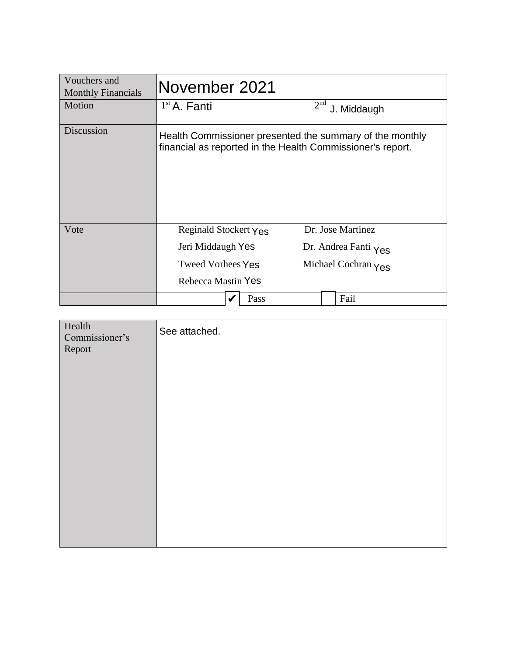| Vouchers and<br><b>Monthly Financials</b> | November 2021                                              |      |                 |                                                          |
|-------------------------------------------|------------------------------------------------------------|------|-----------------|----------------------------------------------------------|
| Motion                                    | $1st$ A. Fanti                                             |      | 2 <sup>nd</sup> | J. Middaugh                                              |
| Discussion                                | financial as reported in the Health Commissioner's report. |      |                 | Health Commissioner presented the summary of the monthly |
| Vote                                      | Reginald Stockert Yes                                      |      |                 | Dr. Jose Martinez                                        |
|                                           | Jeri Middaugh Yes                                          |      |                 | Dr. Andrea Fanti Yes                                     |
|                                           | <b>Tweed Vorhees Yes</b>                                   |      |                 | Michael Cochran $\gamma$ es                              |
|                                           | Rebecca Mastin Yes                                         |      |                 |                                                          |
|                                           |                                                            | Pass |                 | Fail                                                     |

| Health<br>Commissioner's<br>Report | See attached. |
|------------------------------------|---------------|
|                                    |               |
|                                    |               |
|                                    |               |
|                                    |               |
|                                    |               |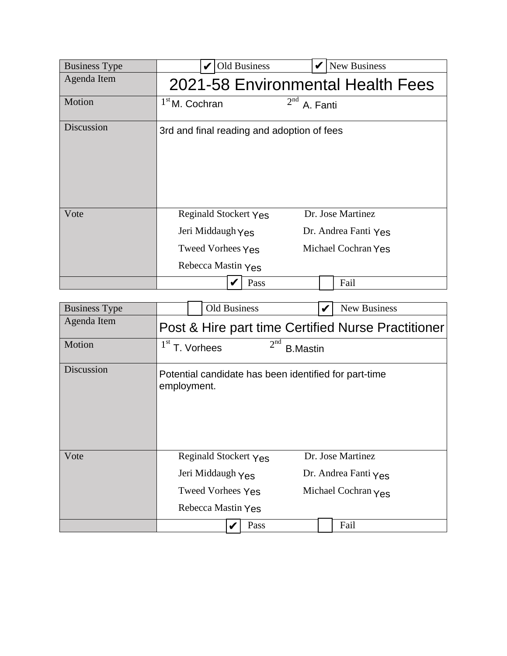| <b>Business Type</b> | <b>Old Business</b><br><b>New Business</b>                                                                                                                |
|----------------------|-----------------------------------------------------------------------------------------------------------------------------------------------------------|
| Agenda Item          | 2021-58 Environmental Health Fees                                                                                                                         |
| Motion               | 2 <sup>nd</sup><br>$1st$ M. Cochran<br>A. Fanti                                                                                                           |
| Discussion           | 3rd and final reading and adoption of fees                                                                                                                |
| Vote                 | Dr. Jose Martinez<br>Reginald Stockert Yes<br>Jeri Middaugh Yes<br>Dr. Andrea Fanti Yes<br>Michael Cochran Yes<br>Tweed Vorhees Yes<br>Rebecca Mastin Yes |
|                      | Fail<br>Pass                                                                                                                                              |

| <b>Business Type</b> | <b>Old Business</b>                                                  | New Business                                       |
|----------------------|----------------------------------------------------------------------|----------------------------------------------------|
| Agenda Item          |                                                                      | Post & Hire part time Certified Nurse Practitioner |
| Motion               | 2 <sup>nd</sup><br>1 <sup>st</sup><br>T. Vorhees                     | <b>B.Mastin</b>                                    |
| Discussion           | Potential candidate has been identified for part-time<br>employment. |                                                    |
| Vote                 | Reginald Stockert Yes                                                | Dr. Jose Martinez                                  |
|                      | Jeri Middaugh $\gamma_{\text{BS}}$                                   | Dr. Andrea Fanti $\gamma_{\text{ES}}$              |
|                      | <b>Tweed Vorhees Yes</b>                                             | Michael Cochran Yes                                |
|                      | Rebecca Mastin Yes                                                   |                                                    |
|                      | Pass                                                                 | Fail                                               |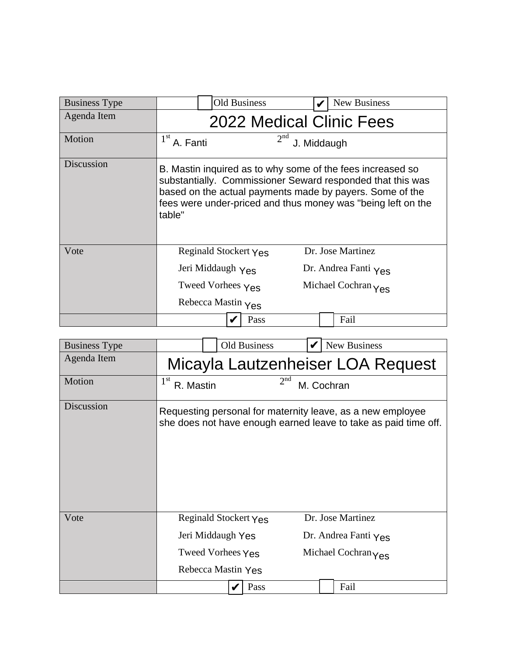|                      | <b>Old Business</b>                                                                                                                                                                                                                                            |      | <b>New Business</b>  |  |
|----------------------|----------------------------------------------------------------------------------------------------------------------------------------------------------------------------------------------------------------------------------------------------------------|------|----------------------|--|
| <b>Business Type</b> |                                                                                                                                                                                                                                                                |      |                      |  |
| Agenda Item          | <b>2022 Medical Clinic Fees</b>                                                                                                                                                                                                                                |      |                      |  |
| Motion               | 2 <sup>nd</sup><br>$1st$ A. Fanti<br>J. Middaugh                                                                                                                                                                                                               |      |                      |  |
| Discussion           | B. Mastin inquired as to why some of the fees increased so<br>substantially. Commissioner Seward responded that this was<br>based on the actual payments made by payers. Some of the<br>fees were under-priced and thus money was "being left on the<br>table" |      |                      |  |
| Vote                 | Reginald Stockert Yes                                                                                                                                                                                                                                          |      | Dr. Jose Martinez    |  |
|                      | Jeri Middaugh Yes                                                                                                                                                                                                                                              |      | Dr. Andrea Fanti Yes |  |
|                      | Tweed Vorhees $Y_{ES}$<br>Michael Cochran Yes                                                                                                                                                                                                                  |      |                      |  |
|                      | Rebecca Mastin Yes                                                                                                                                                                                                                                             |      |                      |  |
|                      |                                                                                                                                                                                                                                                                | Pass | Fail                 |  |

| <b>Business Type</b> | Old Business                 |                 | New Business                                                                                                                  |
|----------------------|------------------------------|-----------------|-------------------------------------------------------------------------------------------------------------------------------|
| Agenda Item          |                              |                 | Micayla Lautzenheiser LOA Request                                                                                             |
| Motion               | 1 <sup>st</sup><br>R. Mastin | 2 <sup>nd</sup> | M. Cochran                                                                                                                    |
| Discussion           |                              |                 | Requesting personal for maternity leave, as a new employee<br>she does not have enough earned leave to take as paid time off. |
| Vote                 | Reginald Stockert Yes        |                 | Dr. Jose Martinez                                                                                                             |
|                      | Jeri Middaugh Yes            |                 | Dr. Andrea Fanti $\gamma_{\text{ES}}$                                                                                         |
|                      | Tweed Vorhees Yes            |                 | Michael Cochran Yes                                                                                                           |
|                      | Rebecca Mastin Yes           |                 |                                                                                                                               |
|                      |                              | Pass            | Fail                                                                                                                          |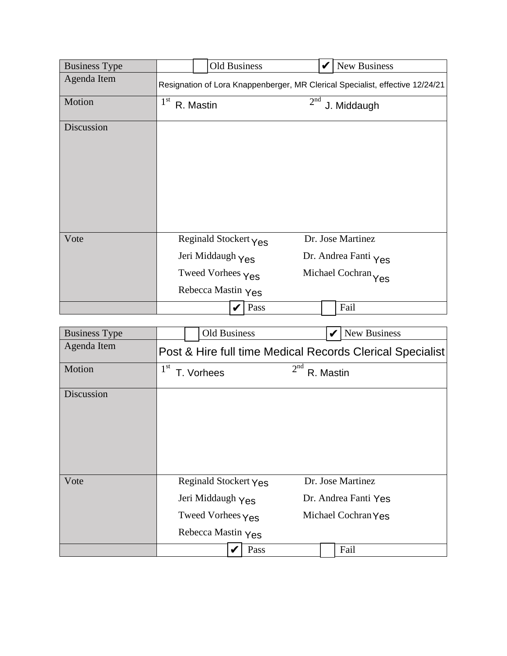| <b>Business Type</b> | <b>Old Business</b>          | <b>New Business</b><br>V                                                      |
|----------------------|------------------------------|-------------------------------------------------------------------------------|
| Agenda Item          |                              | Resignation of Lora Knappenberger, MR Clerical Specialist, effective 12/24/21 |
| Motion               | 1 <sup>st</sup><br>R. Mastin | 2 <sup>nd</sup><br>J. Middaugh                                                |
| Discussion           |                              |                                                                               |
| Vote                 | Reginald Stockert Yes        | Dr. Jose Martinez                                                             |
|                      | Jeri Middaugh Yes            | Dr. Andrea Fanti Yes                                                          |
|                      | Tweed Vorhees Yes            | Michael Cochran Yes                                                           |
|                      | Rebecca Mastin Yes           |                                                                               |
|                      | Pass<br>V                    | Fail                                                                          |
|                      |                              |                                                                               |
| <b>Business Type</b> | <b>Old Business</b>          | New Business<br>V                                                             |
| Agenda Item          |                              | Post & Hire full time Medical Records Clerical Specialist                     |

| <b>Business Type</b> | Old Business                                                                          | New Business<br>V                                                |
|----------------------|---------------------------------------------------------------------------------------|------------------------------------------------------------------|
| Agenda Item          |                                                                                       | Post & Hire full time Medical Records Clerical Specialist        |
| Motion               | 1 <sup>st</sup><br>T. Vorhees                                                         | 2 <sup>nd</sup><br>R. Mastin                                     |
| Discussion           |                                                                                       |                                                                  |
| Vote                 | Reginald Stockert Yes<br>Jeri Middaugh Yes<br>Tweed Vorhees Yes<br>Rebecca Mastin Yes | Dr. Jose Martinez<br>Dr. Andrea Fanti Yes<br>Michael Cochran Yes |
|                      | Pass                                                                                  | Fail                                                             |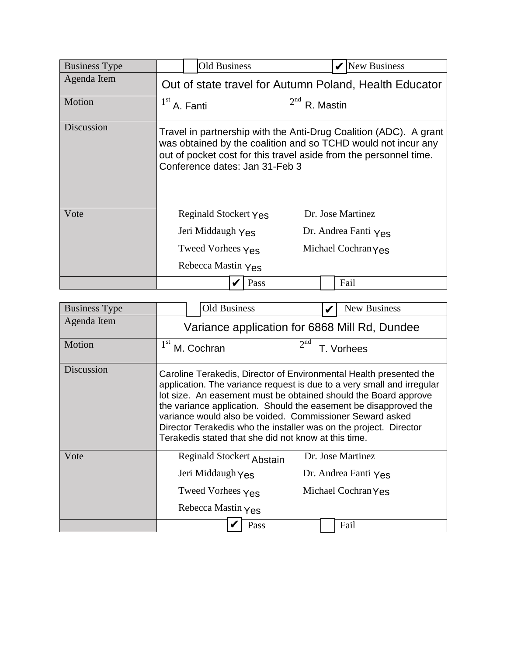| <b>Business Type</b> | <b>Old Business</b>                                                                                                                                                                                                                                                                                                                                                                                                                                                          | $\mathbf{V}$ New Business                                                                                                                                                                               |  |
|----------------------|------------------------------------------------------------------------------------------------------------------------------------------------------------------------------------------------------------------------------------------------------------------------------------------------------------------------------------------------------------------------------------------------------------------------------------------------------------------------------|---------------------------------------------------------------------------------------------------------------------------------------------------------------------------------------------------------|--|
| Agenda Item          |                                                                                                                                                                                                                                                                                                                                                                                                                                                                              | Out of state travel for Autumn Poland, Health Educator                                                                                                                                                  |  |
| Motion               | 1 <sup>st</sup><br>A. Fanti                                                                                                                                                                                                                                                                                                                                                                                                                                                  | 2 <sup>nd</sup><br>R. Mastin                                                                                                                                                                            |  |
| Discussion           | Conference dates: Jan 31-Feb 3                                                                                                                                                                                                                                                                                                                                                                                                                                               | Travel in partnership with the Anti-Drug Coalition (ADC). A grant<br>was obtained by the coalition and so TCHD would not incur any<br>out of pocket cost for this travel aside from the personnel time. |  |
| Vote                 | Reginald Stockert Yes                                                                                                                                                                                                                                                                                                                                                                                                                                                        | Dr. Jose Martinez                                                                                                                                                                                       |  |
|                      | Jeri Middaugh Yes                                                                                                                                                                                                                                                                                                                                                                                                                                                            | Dr. Andrea Fanti $Y_{\text{ES}}$                                                                                                                                                                        |  |
|                      | Tweed Vorhees $\gamma_{\text{ES}}$                                                                                                                                                                                                                                                                                                                                                                                                                                           | Michael Cochran Yes                                                                                                                                                                                     |  |
|                      | Rebecca Mastin Yes                                                                                                                                                                                                                                                                                                                                                                                                                                                           |                                                                                                                                                                                                         |  |
|                      | Pass                                                                                                                                                                                                                                                                                                                                                                                                                                                                         | Fail                                                                                                                                                                                                    |  |
|                      |                                                                                                                                                                                                                                                                                                                                                                                                                                                                              |                                                                                                                                                                                                         |  |
| <b>Business Type</b> | <b>Old Business</b>                                                                                                                                                                                                                                                                                                                                                                                                                                                          | New Business<br>V                                                                                                                                                                                       |  |
| Agenda Item          |                                                                                                                                                                                                                                                                                                                                                                                                                                                                              | Variance application for 6868 Mill Rd, Dundee                                                                                                                                                           |  |
| Motion               | 1 <sup>st</sup><br>M. Cochran                                                                                                                                                                                                                                                                                                                                                                                                                                                | 2 <sup>nd</sup><br>T. Vorhees                                                                                                                                                                           |  |
| Discussion           | Caroline Terakedis, Director of Environmental Health presented the<br>application. The variance request is due to a very small and irregular<br>lot size. An easement must be obtained should the Board approve<br>the variance application. Should the easement be disapproved the<br>variance would also be voided. Commissioner Seward asked<br>Director Terakedis who the installer was on the project. Director<br>Terakedis stated that she did not know at this time. |                                                                                                                                                                                                         |  |

| <b>Business Type</b> | <b>Old Business</b>                                                                                                                                                                                                                                                                                                                                                                                                                                                          | <b>New Business</b>           |  |  |  |  |  |  |
|----------------------|------------------------------------------------------------------------------------------------------------------------------------------------------------------------------------------------------------------------------------------------------------------------------------------------------------------------------------------------------------------------------------------------------------------------------------------------------------------------------|-------------------------------|--|--|--|--|--|--|
| Agenda Item          | Variance application for 6868 Mill Rd, Dundee                                                                                                                                                                                                                                                                                                                                                                                                                                |                               |  |  |  |  |  |  |
| Motion               | 1 <sup>st</sup><br>M. Cochran                                                                                                                                                                                                                                                                                                                                                                                                                                                | 2 <sup>nd</sup><br>T. Vorhees |  |  |  |  |  |  |
| Discussion           | Caroline Terakedis, Director of Environmental Health presented the<br>application. The variance request is due to a very small and irregular<br>lot size. An easement must be obtained should the Board approve<br>the variance application. Should the easement be disapproved the<br>variance would also be voided. Commissioner Seward asked<br>Director Terakedis who the installer was on the project. Director<br>Terakedis stated that she did not know at this time. |                               |  |  |  |  |  |  |
| Vote                 | Reginald Stockert Abstain                                                                                                                                                                                                                                                                                                                                                                                                                                                    | Dr. Jose Martinez             |  |  |  |  |  |  |
|                      | Jeri Middaugh Yes                                                                                                                                                                                                                                                                                                                                                                                                                                                            | Dr. Andrea Fanti Yes          |  |  |  |  |  |  |
|                      | Tweed Vorhees Yes                                                                                                                                                                                                                                                                                                                                                                                                                                                            | Michael Cochran Yes           |  |  |  |  |  |  |
|                      | Rebecca Mastin Yes                                                                                                                                                                                                                                                                                                                                                                                                                                                           |                               |  |  |  |  |  |  |
|                      | Pass                                                                                                                                                                                                                                                                                                                                                                                                                                                                         | Fail                          |  |  |  |  |  |  |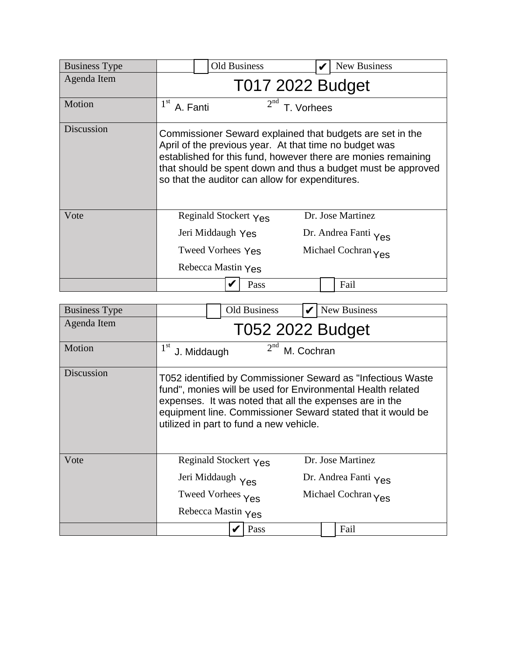| <b>Business Type</b> | <b>Old Business</b>                                                                                       | New Business                                                                                                                                                                               |  |  |  |  |  |  |
|----------------------|-----------------------------------------------------------------------------------------------------------|--------------------------------------------------------------------------------------------------------------------------------------------------------------------------------------------|--|--|--|--|--|--|
| Agenda Item          | <b>T017 2022 Budget</b>                                                                                   |                                                                                                                                                                                            |  |  |  |  |  |  |
| Motion               | 2 <sup>nd</sup><br>$1^{\rm st}$<br>A. Fanti                                                               | T. Vorhees                                                                                                                                                                                 |  |  |  |  |  |  |
| Discussion           | April of the previous year. At that time no budget was<br>so that the auditor can allow for expenditures. | Commissioner Seward explained that budgets are set in the<br>established for this fund, however there are monies remaining<br>that should be spent down and thus a budget must be approved |  |  |  |  |  |  |
| Vote                 | Reginald Stockert Yes                                                                                     | Dr. Jose Martinez                                                                                                                                                                          |  |  |  |  |  |  |
|                      | Jeri Middaugh Yes<br>Dr. Andrea Fanti Yes                                                                 |                                                                                                                                                                                            |  |  |  |  |  |  |
|                      | Tweed Vorhees Yes<br>Michael Cochran Yes                                                                  |                                                                                                                                                                                            |  |  |  |  |  |  |
|                      | Rebecca Mastin Yes                                                                                        |                                                                                                                                                                                            |  |  |  |  |  |  |
|                      | Pass                                                                                                      | Fail                                                                                                                                                                                       |  |  |  |  |  |  |

| <b>Business Type</b> |                                          |                                              | <b>Old Business</b>                     |  |  | New Business                                                                                                                                                                                                                                         |  |
|----------------------|------------------------------------------|----------------------------------------------|-----------------------------------------|--|--|------------------------------------------------------------------------------------------------------------------------------------------------------------------------------------------------------------------------------------------------------|--|
| Agenda Item          | <b>T052 2022 Budget</b>                  |                                              |                                         |  |  |                                                                                                                                                                                                                                                      |  |
| Motion               | 1 <sup>st</sup>                          | 2 <sup>nd</sup><br>M. Cochran<br>J. Middaugh |                                         |  |  |                                                                                                                                                                                                                                                      |  |
| Discussion           |                                          |                                              | utilized in part to fund a new vehicle. |  |  | T052 identified by Commissioner Seward as "Infectious Waste<br>fund", monies will be used for Environmental Health related<br>expenses. It was noted that all the expenses are in the<br>equipment line. Commissioner Seward stated that it would be |  |
| Vote                 |                                          | Reginald Stockert Yes                        |                                         |  |  | Dr. Jose Martinez                                                                                                                                                                                                                                    |  |
|                      | Jeri Middaugh Yes                        |                                              |                                         |  |  | Dr. Andrea Fanti Yes                                                                                                                                                                                                                                 |  |
|                      | Tweed Vorhees Yes<br>Michael Cochran Yes |                                              |                                         |  |  |                                                                                                                                                                                                                                                      |  |
|                      | Rebecca Mastin Yes                       |                                              |                                         |  |  |                                                                                                                                                                                                                                                      |  |
|                      |                                          |                                              | Pass                                    |  |  | Fail                                                                                                                                                                                                                                                 |  |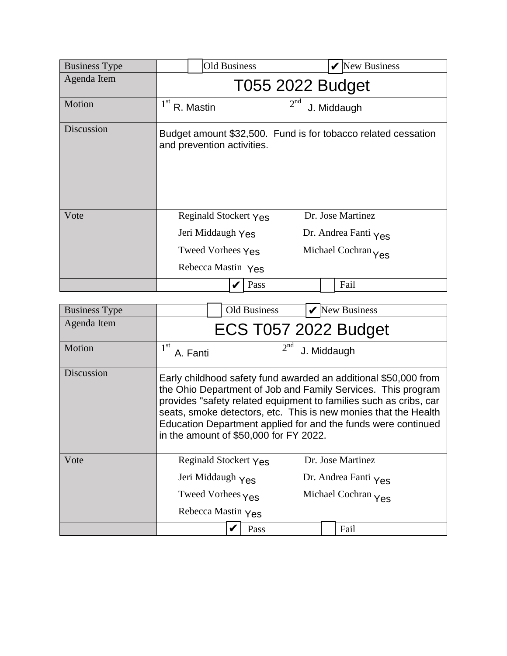| <b>Business Type</b> | <b>Old Business</b>                                                                   | New Business                                                     |  |  |  |  |  |
|----------------------|---------------------------------------------------------------------------------------|------------------------------------------------------------------|--|--|--|--|--|
| Agenda Item          | T055 2022 Budget                                                                      |                                                                  |  |  |  |  |  |
| Motion               | 1 <sup>st</sup><br>R. Mastin                                                          | 2 <sup>nd</sup><br>J. Middaugh                                   |  |  |  |  |  |
| Discussion           | and prevention activities.                                                            | Budget amount \$32,500. Fund is for tobacco related cessation    |  |  |  |  |  |
| Vote                 | Reginald Stockert Yes<br>Jeri Middaugh Yes<br>Tweed Vorhees Yes<br>Rebecca Mastin Yes | Dr. Jose Martinez<br>Dr. Andrea Fanti Yes<br>Michael Cochran Yes |  |  |  |  |  |
|                      | Pass                                                                                  | Fail                                                             |  |  |  |  |  |

| <b>Business Type</b> |                                                      |                       | Old Business                           |             |  | New Business                                                                                                                                                                                                                                                                                                                             |  |  |
|----------------------|------------------------------------------------------|-----------------------|----------------------------------------|-------------|--|------------------------------------------------------------------------------------------------------------------------------------------------------------------------------------------------------------------------------------------------------------------------------------------------------------------------------------------|--|--|
| Agenda Item          | <b>ECS T057 2022 Budget</b>                          |                       |                                        |             |  |                                                                                                                                                                                                                                                                                                                                          |  |  |
| Motion               | $1^{\rm st}$<br>A. Fanti                             |                       | 2 <sup>nd</sup>                        | J. Middaugh |  |                                                                                                                                                                                                                                                                                                                                          |  |  |
| Discussion           |                                                      |                       | in the amount of \$50,000 for FY 2022. |             |  | Early childhood safety fund awarded an additional \$50,000 from<br>the Ohio Department of Job and Family Services. This program<br>provides "safety related equipment to families such as cribs, car<br>seats, smoke detectors, etc. This is new monies that the Health<br>Education Department applied for and the funds were continued |  |  |
| Vote                 |                                                      | Reginald Stockert Yes |                                        |             |  | Dr. Jose Martinez                                                                                                                                                                                                                                                                                                                        |  |  |
|                      | Jeri Middaugh Yes                                    |                       | Dr. Andrea Fanti Yes                   |             |  |                                                                                                                                                                                                                                                                                                                                          |  |  |
|                      | Tweed Vorhees $Y_{\text{ES}}$<br>Michael Cochran Yes |                       |                                        |             |  |                                                                                                                                                                                                                                                                                                                                          |  |  |
|                      | Rebecca Mastin Yes                                   |                       |                                        |             |  |                                                                                                                                                                                                                                                                                                                                          |  |  |
|                      |                                                      |                       | Pass                                   |             |  | Fail                                                                                                                                                                                                                                                                                                                                     |  |  |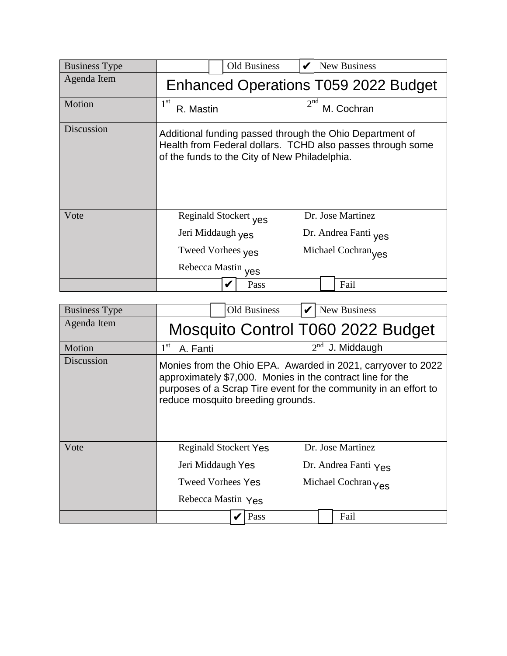| <b>Business Type</b> | Old Business                                                                                     | New Business                                                                                                           |  |  |  |  |  |  |
|----------------------|--------------------------------------------------------------------------------------------------|------------------------------------------------------------------------------------------------------------------------|--|--|--|--|--|--|
| Agenda Item          | <b>Enhanced Operations T059 2022 Budget</b>                                                      |                                                                                                                        |  |  |  |  |  |  |
| Motion               | $1^{\rm st}$<br>R. Mastin                                                                        | 2 <sup>nd</sup><br>M. Cochran                                                                                          |  |  |  |  |  |  |
| Discussion           | of the funds to the City of New Philadelphia.                                                    | Additional funding passed through the Ohio Department of<br>Health from Federal dollars. TCHD also passes through some |  |  |  |  |  |  |
| Vote                 | Reginald Stockert <sub>Ves</sub><br>Jeri Middaugh <sub>Ves</sub><br>Tweed Vorhees <sub>Ves</sub> | Dr. Jose Martinez<br>Dr. Andrea Fanti yes<br>Michael Cochran yes                                                       |  |  |  |  |  |  |
|                      | Rebecca Mastin yes<br>Pass                                                                       | Fail                                                                                                                   |  |  |  |  |  |  |

| <b>Business Type</b> | <b>Old Business</b>                             | <b>New Business</b>                                                                                                                                                                            |  |  |  |  |
|----------------------|-------------------------------------------------|------------------------------------------------------------------------------------------------------------------------------------------------------------------------------------------------|--|--|--|--|
| Agenda Item          |                                                 | Mosquito Control T060 2022 Budget                                                                                                                                                              |  |  |  |  |
| Motion               | $1^{\rm st}$<br>A. Fanti                        | $2nd$ J. Middaugh                                                                                                                                                                              |  |  |  |  |
| Discussion           | reduce mosquito breeding grounds.               | Monies from the Ohio EPA. Awarded in 2021, carryover to 2022<br>approximately \$7,000. Monies in the contract line for the<br>purposes of a Scrap Tire event for the community in an effort to |  |  |  |  |
| Vote                 | <b>Reginald Stockert Yes</b>                    | Dr. Jose Martinez                                                                                                                                                                              |  |  |  |  |
|                      | Jeri Middaugh Yes                               | Dr. Andrea Fanti Yes                                                                                                                                                                           |  |  |  |  |
|                      | <b>Tweed Vorhees Yes</b><br>Michael Cochran Yes |                                                                                                                                                                                                |  |  |  |  |
|                      | Rebecca Mastin Yes                              |                                                                                                                                                                                                |  |  |  |  |
|                      | Pass                                            | Fail                                                                                                                                                                                           |  |  |  |  |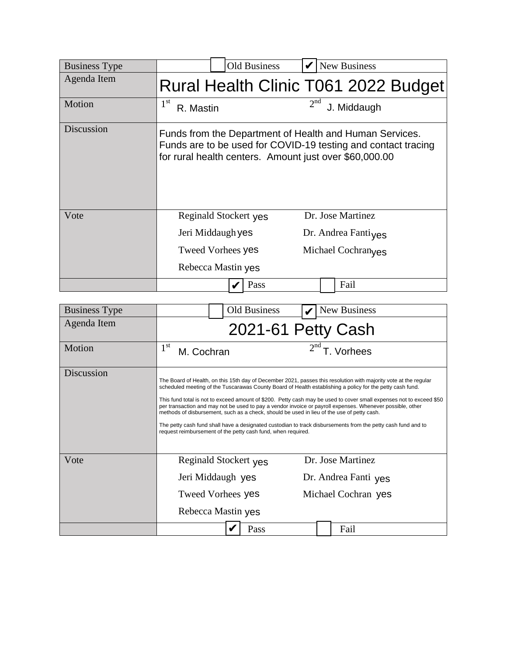| <b>Business Type</b> | <b>Old Business</b>       | <b>New Business</b>                                                                                                                                                                |  |  |  |  |
|----------------------|---------------------------|------------------------------------------------------------------------------------------------------------------------------------------------------------------------------------|--|--|--|--|
| Agenda Item          |                           | Rural Health Clinic T061 2022 Budget                                                                                                                                               |  |  |  |  |
| Motion               | $1^{\rm st}$<br>R. Mastin | 2 <sup>nd</sup><br>J. Middaugh                                                                                                                                                     |  |  |  |  |
| Discussion           |                           | Funds from the Department of Health and Human Services.<br>Funds are to be used for COVID-19 testing and contact tracing<br>for rural health centers. Amount just over \$60,000.00 |  |  |  |  |
| Vote                 | Reginald Stockert yes     | Dr. Jose Martinez                                                                                                                                                                  |  |  |  |  |
|                      | Jeri Middaugh yes         | Dr. Andrea Fanti $v$ es                                                                                                                                                            |  |  |  |  |
|                      | <b>Tweed Vorhees yes</b>  | Michael Cochran <sub>ves</sub>                                                                                                                                                     |  |  |  |  |
|                      | Rebecca Mastin yes        |                                                                                                                                                                                    |  |  |  |  |
|                      | Pass                      | Fail                                                                                                                                                                               |  |  |  |  |

| <b>Business Type</b> | <b>Old Business</b>                                                                                                                                        | New Business                                                                                                                                                                                                                                                                                                                                                                                                                                                                                                                                                                      |  |  |  |  |  |  |
|----------------------|------------------------------------------------------------------------------------------------------------------------------------------------------------|-----------------------------------------------------------------------------------------------------------------------------------------------------------------------------------------------------------------------------------------------------------------------------------------------------------------------------------------------------------------------------------------------------------------------------------------------------------------------------------------------------------------------------------------------------------------------------------|--|--|--|--|--|--|
| Agenda Item          | 2021-61 Petty Cash                                                                                                                                         |                                                                                                                                                                                                                                                                                                                                                                                                                                                                                                                                                                                   |  |  |  |  |  |  |
| Motion               | $1^{\rm st}$<br>M. Cochran                                                                                                                                 | T. Vorhees                                                                                                                                                                                                                                                                                                                                                                                                                                                                                                                                                                        |  |  |  |  |  |  |
| Discussion           | methods of disbursement, such as a check, should be used in lieu of the use of petty cash.<br>request reimbursement of the petty cash fund, when required. | The Board of Health, on this 15th day of December 2021, passes this resolution with majority vote at the regular<br>scheduled meeting of the Tuscarawas County Board of Health establishing a policy for the petty cash fund.<br>This fund total is not to exceed amount of \$200. Petty cash may be used to cover small expenses not to exceed \$50<br>per transaction and may not be used to pay a vendor invoice or payroll expenses. Whenever possible, other<br>The petty cash fund shall have a designated custodian to track disbursements from the petty cash fund and to |  |  |  |  |  |  |
| Vote                 | Reginald Stockert yes<br>Jeri Middaugh yes<br>Tweed Vorhees yes<br>Rebecca Mastin yes                                                                      | Dr. Jose Martinez<br>Dr. Andrea Fanti yes<br>Michael Cochran yes                                                                                                                                                                                                                                                                                                                                                                                                                                                                                                                  |  |  |  |  |  |  |
|                      | Pass                                                                                                                                                       | Fail                                                                                                                                                                                                                                                                                                                                                                                                                                                                                                                                                                              |  |  |  |  |  |  |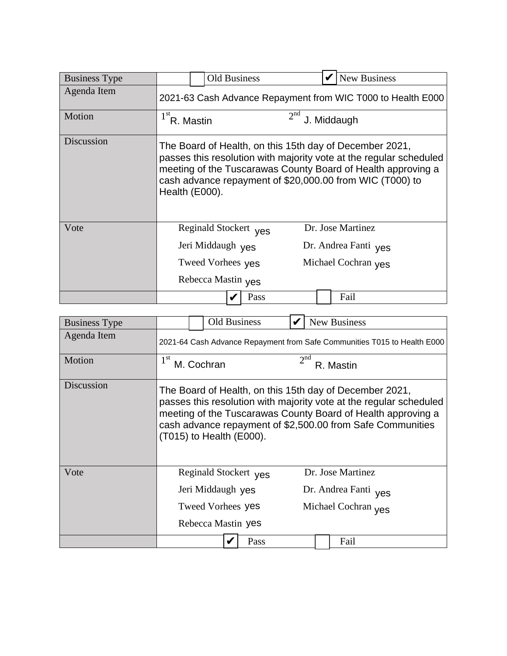| <b>Business Type</b> |                                                             | <b>Old Business</b>              |                      |  |  | <b>New Business</b>                                                                                                                                                                                                                                       |  |
|----------------------|-------------------------------------------------------------|----------------------------------|----------------------|--|--|-----------------------------------------------------------------------------------------------------------------------------------------------------------------------------------------------------------------------------------------------------------|--|
| Agenda Item          | 2021-63 Cash Advance Repayment from WIC T000 to Health E000 |                                  |                      |  |  |                                                                                                                                                                                                                                                           |  |
| Motion               | 2 <sup>nd</sup><br>$1stR$ . Mastin<br>J. Middaugh           |                                  |                      |  |  |                                                                                                                                                                                                                                                           |  |
| Discussion           | Health (E000).                                              |                                  |                      |  |  | The Board of Health, on this 15th day of December 2021,<br>passes this resolution with majority vote at the regular scheduled<br>meeting of the Tuscarawas County Board of Health approving a<br>cash advance repayment of \$20,000.00 from WIC (T000) to |  |
| Vote                 |                                                             | Reginald Stockert <sub>Ves</sub> |                      |  |  | Dr. Jose Martinez                                                                                                                                                                                                                                         |  |
|                      | Jeri Middaugh yes                                           |                                  | Dr. Andrea Fanti yes |  |  |                                                                                                                                                                                                                                                           |  |
|                      |                                                             | Tweed Vorhees yes                | Michael Cochran yes  |  |  |                                                                                                                                                                                                                                                           |  |
|                      | Rebecca Mastin yes                                          |                                  |                      |  |  |                                                                                                                                                                                                                                                           |  |
|                      |                                                             |                                  | Pass                 |  |  | Fail                                                                                                                                                                                                                                                      |  |

| <b>Business Type</b> |                                                                          | <b>Old Business</b>              |      |                      |  | <b>New Business</b>                                                                                                                                                                                                                                         |  |
|----------------------|--------------------------------------------------------------------------|----------------------------------|------|----------------------|--|-------------------------------------------------------------------------------------------------------------------------------------------------------------------------------------------------------------------------------------------------------------|--|
| Agenda Item          | 2021-64 Cash Advance Repayment from Safe Communities T015 to Health E000 |                                  |      |                      |  |                                                                                                                                                                                                                                                             |  |
| Motion               | 2 <sup>nd</sup><br>$1^{\rm st}$<br>M. Cochran<br>R. Mastin               |                                  |      |                      |  |                                                                                                                                                                                                                                                             |  |
| Discussion           |                                                                          | (T015) to Health (E000).         |      |                      |  | The Board of Health, on this 15th day of December 2021,<br>passes this resolution with majority vote at the regular scheduled<br>meeting of the Tuscarawas County Board of Health approving a<br>cash advance repayment of \$2,500.00 from Safe Communities |  |
| Vote                 |                                                                          | Reginald Stockert <sub>Ves</sub> |      |                      |  | Dr. Jose Martinez                                                                                                                                                                                                                                           |  |
|                      | Jeri Middaugh yes                                                        |                                  |      | Dr. Andrea Fanti yes |  |                                                                                                                                                                                                                                                             |  |
|                      | Tweed Vorhees yes                                                        |                                  |      | Michael Cochran yes  |  |                                                                                                                                                                                                                                                             |  |
|                      | Rebecca Mastin yes                                                       |                                  |      |                      |  |                                                                                                                                                                                                                                                             |  |
|                      |                                                                          |                                  | Pass |                      |  | Fail                                                                                                                                                                                                                                                        |  |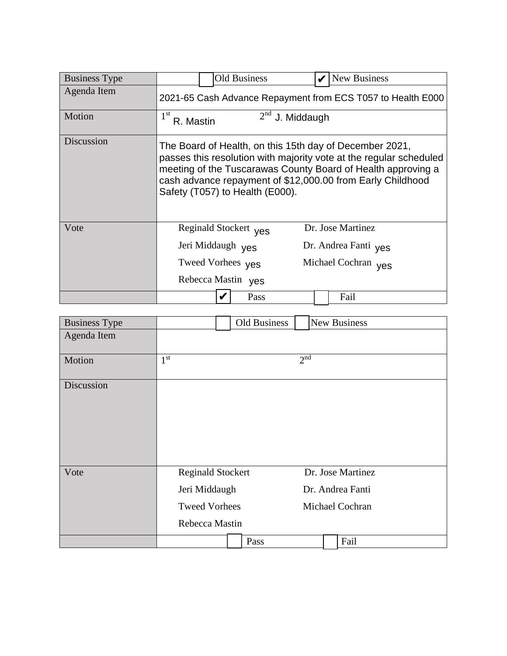| <b>Business Type</b> | <b>Old Business</b>                                         | New Business                                                                                                                                                                                                                                                |  |  |  |  |  |  |
|----------------------|-------------------------------------------------------------|-------------------------------------------------------------------------------------------------------------------------------------------------------------------------------------------------------------------------------------------------------------|--|--|--|--|--|--|
| Agenda Item          | 2021-65 Cash Advance Repayment from ECS T057 to Health E000 |                                                                                                                                                                                                                                                             |  |  |  |  |  |  |
| Motion               | $2nd$ J. Middaugh<br>1 <sup>st</sup><br>R. Mastin           |                                                                                                                                                                                                                                                             |  |  |  |  |  |  |
| Discussion           | Safety (T057) to Health (E000).                             | The Board of Health, on this 15th day of December 2021,<br>passes this resolution with majority vote at the regular scheduled<br>meeting of the Tuscarawas County Board of Health approving a<br>cash advance repayment of \$12,000.00 from Early Childhood |  |  |  |  |  |  |
| Vote                 | Reginald Stockert yes                                       | Dr. Jose Martinez                                                                                                                                                                                                                                           |  |  |  |  |  |  |
|                      | Jeri Middaugh yes                                           | Dr. Andrea Fanti yes                                                                                                                                                                                                                                        |  |  |  |  |  |  |
|                      | Tweed Vorhees yes                                           | Michael Cochran yes                                                                                                                                                                                                                                         |  |  |  |  |  |  |
|                      | Rebecca Mastin yes                                          |                                                                                                                                                                                                                                                             |  |  |  |  |  |  |
|                      | Pass                                                        | Fail                                                                                                                                                                                                                                                        |  |  |  |  |  |  |

| <b>Business Type</b> |                                                                                     | Old Business | <b>New Business</b>                                      |
|----------------------|-------------------------------------------------------------------------------------|--------------|----------------------------------------------------------|
| Agenda Item          |                                                                                     |              |                                                          |
| Motion               | 1 <sup>st</sup>                                                                     |              | 2 <sup>nd</sup>                                          |
| Discussion           |                                                                                     |              |                                                          |
| Vote                 | <b>Reginald Stockert</b><br>Jeri Middaugh<br><b>Tweed Vorhees</b><br>Rebecca Mastin |              | Dr. Jose Martinez<br>Dr. Andrea Fanti<br>Michael Cochran |
|                      |                                                                                     | Pass         | Fail                                                     |